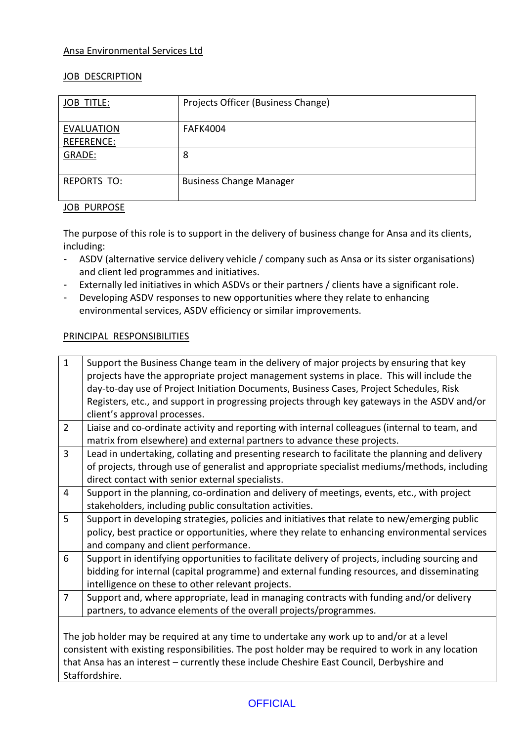## Ansa Environmental Services Ltd

## **JOB DESCRIPTION**

| <b>JOB TITLE:</b>                      | Projects Officer (Business Change) |
|----------------------------------------|------------------------------------|
| <b>EVALUATION</b><br><b>REFERENCE:</b> | <b>FAFK4004</b>                    |
| GRADE:                                 | 8                                  |
| <b>REPORTS TO:</b>                     | <b>Business Change Manager</b>     |

# JOB PURPOSE

The purpose of this role is to support in the delivery of business change for Ansa and its clients, including:

- ASDV (alternative service delivery vehicle / company such as Ansa or its sister organisations) and client led programmes and initiatives.
- Externally led initiatives in which ASDVs or their partners / clients have a significant role.
- Developing ASDV responses to new opportunities where they relate to enhancing environmental services, ASDV efficiency or similar improvements.

# PRINCIPAL RESPONSIBILITIES

| $\mathbf{1}$<br>Support the Business Change team in the delivery of major projects by ensuring that key<br>projects have the appropriate project management systems in place. This will include the |  |  |  |  |
|-----------------------------------------------------------------------------------------------------------------------------------------------------------------------------------------------------|--|--|--|--|
|                                                                                                                                                                                                     |  |  |  |  |
| day-to-day use of Project Initiation Documents, Business Cases, Project Schedules, Risk                                                                                                             |  |  |  |  |
| Registers, etc., and support in progressing projects through key gateways in the ASDV and/or                                                                                                        |  |  |  |  |
| client's approval processes.                                                                                                                                                                        |  |  |  |  |
| $\overline{2}$<br>Liaise and co-ordinate activity and reporting with internal colleagues (internal to team, and                                                                                     |  |  |  |  |
| matrix from elsewhere) and external partners to advance these projects.                                                                                                                             |  |  |  |  |
| 3<br>Lead in undertaking, collating and presenting research to facilitate the planning and delivery                                                                                                 |  |  |  |  |
| of projects, through use of generalist and appropriate specialist mediums/methods, including                                                                                                        |  |  |  |  |
| direct contact with senior external specialists.                                                                                                                                                    |  |  |  |  |
| $\overline{4}$<br>Support in the planning, co-ordination and delivery of meetings, events, etc., with project                                                                                       |  |  |  |  |
| stakeholders, including public consultation activities.                                                                                                                                             |  |  |  |  |
| 5<br>Support in developing strategies, policies and initiatives that relate to new/emerging public                                                                                                  |  |  |  |  |
| policy, best practice or opportunities, where they relate to enhancing environmental services                                                                                                       |  |  |  |  |
| and company and client performance.                                                                                                                                                                 |  |  |  |  |
| 6<br>Support in identifying opportunities to facilitate delivery of projects, including sourcing and                                                                                                |  |  |  |  |
| bidding for internal (capital programme) and external funding resources, and disseminating                                                                                                          |  |  |  |  |
| intelligence on these to other relevant projects.                                                                                                                                                   |  |  |  |  |
| $\overline{7}$<br>Support and, where appropriate, lead in managing contracts with funding and/or delivery                                                                                           |  |  |  |  |
| partners, to advance elements of the overall projects/programmes.                                                                                                                                   |  |  |  |  |
|                                                                                                                                                                                                     |  |  |  |  |
| The job holder may be required at any time to undertake any work up to and/or at a level                                                                                                            |  |  |  |  |
| consistent with existing responsibilities. The post holder may be required to work in any location                                                                                                  |  |  |  |  |
| that Ansa has an interest - currently these include Cheshire East Council, Derbyshire and                                                                                                           |  |  |  |  |
|                                                                                                                                                                                                     |  |  |  |  |
| Staffordshire.                                                                                                                                                                                      |  |  |  |  |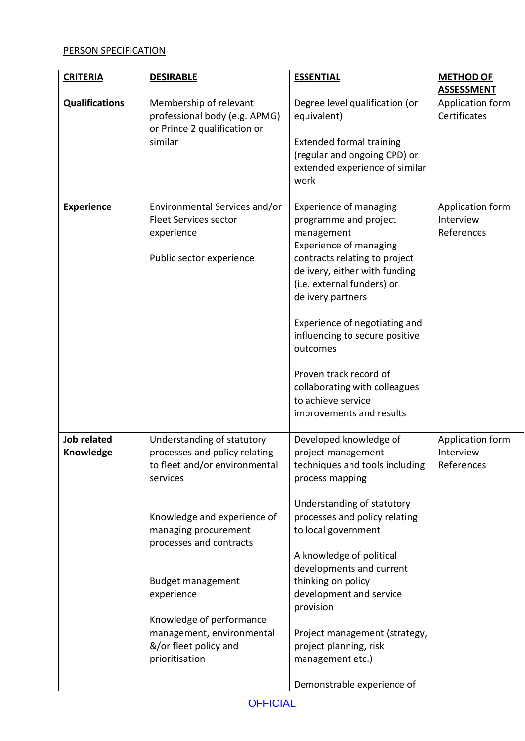# PERSON SPECIFICATION

| <b>CRITERIA</b>                 | <b>DESIRABLE</b>                                                                                                                                                                                                                                                                                                                         | <b>ESSENTIAL</b>                                                                                                                                                                                                                                                                                                                                                                                                           | <b>METHOD OF</b>                            |
|---------------------------------|------------------------------------------------------------------------------------------------------------------------------------------------------------------------------------------------------------------------------------------------------------------------------------------------------------------------------------------|----------------------------------------------------------------------------------------------------------------------------------------------------------------------------------------------------------------------------------------------------------------------------------------------------------------------------------------------------------------------------------------------------------------------------|---------------------------------------------|
|                                 |                                                                                                                                                                                                                                                                                                                                          |                                                                                                                                                                                                                                                                                                                                                                                                                            | <b>ASSESSMENT</b>                           |
| <b>Qualifications</b>           | Membership of relevant<br>professional body (e.g. APMG)<br>or Prince 2 qualification or                                                                                                                                                                                                                                                  | Degree level qualification (or<br>equivalent)                                                                                                                                                                                                                                                                                                                                                                              | Application form<br>Certificates            |
|                                 | similar                                                                                                                                                                                                                                                                                                                                  | <b>Extended formal training</b><br>(regular and ongoing CPD) or<br>extended experience of similar<br>work                                                                                                                                                                                                                                                                                                                  |                                             |
| <b>Experience</b>               | Environmental Services and/or<br><b>Fleet Services sector</b><br>experience<br>Public sector experience                                                                                                                                                                                                                                  | <b>Experience of managing</b><br>programme and project<br>management<br><b>Experience of managing</b><br>contracts relating to project<br>delivery, either with funding<br>(i.e. external funders) or<br>delivery partners<br>Experience of negotiating and<br>influencing to secure positive<br>outcomes<br>Proven track record of<br>collaborating with colleagues<br>to achieve service<br>improvements and results     | Application form<br>Interview<br>References |
| <b>Job related</b><br>Knowledge | Understanding of statutory<br>processes and policy relating<br>to fleet and/or environmental<br>services<br>Knowledge and experience of<br>managing procurement<br>processes and contracts<br><b>Budget management</b><br>experience<br>Knowledge of performance<br>management, environmental<br>&/or fleet policy and<br>prioritisation | Developed knowledge of<br>project management<br>techniques and tools including<br>process mapping<br>Understanding of statutory<br>processes and policy relating<br>to local government<br>A knowledge of political<br>developments and current<br>thinking on policy<br>development and service<br>provision<br>Project management (strategy,<br>project planning, risk<br>management etc.)<br>Demonstrable experience of | Application form<br>Interview<br>References |